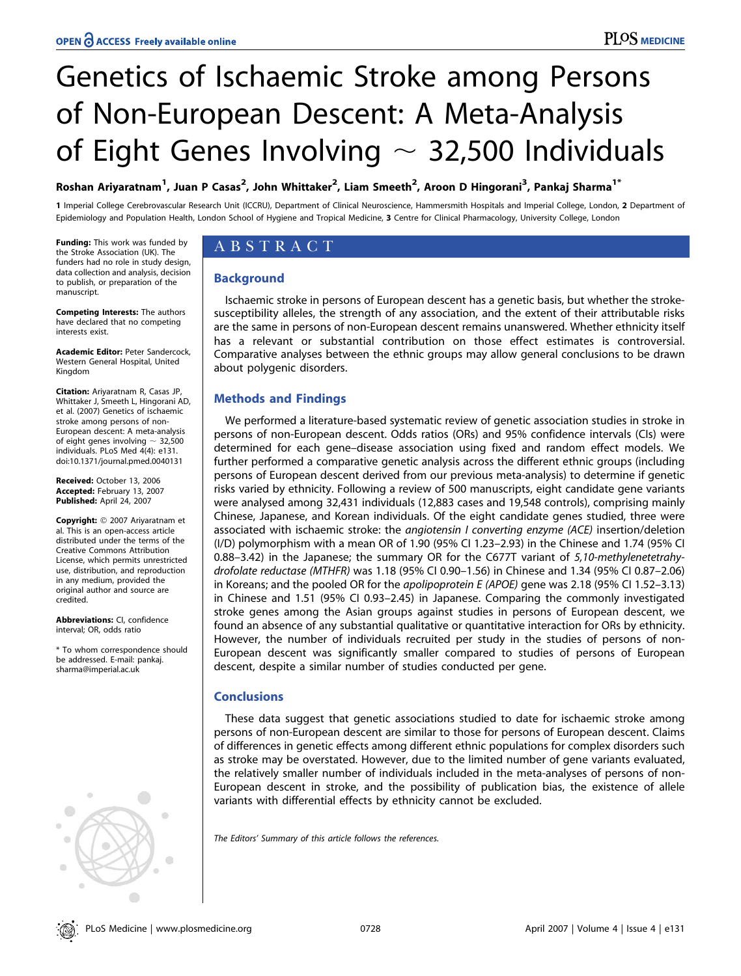# Genetics of Ischaemic Stroke among Persons of Non-European Descent: A Meta-Analysis of Eight Genes Involving  $\sim$  32,500 Individuals

### Roshan Ariyaratnam<sup>1</sup>, Juan P Casas<sup>2</sup>, John Whittaker<sup>2</sup>, Liam Smeeth<sup>2</sup>, Aroon D Hingorani<sup>3</sup>, Pankaj Sharma<sup>1\*</sup>

1 Imperial College Cerebrovascular Research Unit (ICCRU), Department of Clinical Neuroscience, Hammersmith Hospitals and Imperial College, London, 2 Department of Epidemiology and Population Health, London School of Hygiene and Tropical Medicine, 3 Centre for Clinical Pharmacology, University College, London

Funding: This work was funded by the Stroke Association (UK). The funders had no role in study design, data collection and analysis, decision to publish, or preparation of the manuscript.

Competing Interests: The authors have declared that no competing interests exist.

**Academic Editor: Peter Sandercock,** Western General Hospital, United Kingdom

Citation: Ariyaratnam R, Casas JP, Whittaker J, Smeeth L, Hingorani AD, et al. (2007) Genetics of ischaemic stroke among persons of non-European descent: A meta-analysis of eight genes involving  $\sim$  32,500 individuals. PLoS Med 4(4): e131. doi:10.1371/journal.pmed.0040131

Received: October 13, 2006 Accepted: February 13, 2007 Published: April 24, 2007

Copyright: © 2007 Ariyaratnam et al. This is an open-access article distributed under the terms of the Creative Commons Attribution License, which permits unrestricted use, distribution, and reproduction in any medium, provided the original author and source are credited.

Abbreviations: CL confidence interval; OR, odds ratio

\* To whom correspondence should be addressed. E-mail: pankaj. sharma@imperial.ac.uk

# $\bullet$  $\oplus$

## ABSTRACT

#### **Background**

Ischaemic stroke in persons of European descent has a genetic basis, but whether the strokesusceptibility alleles, the strength of any association, and the extent of their attributable risks are the same in persons of non-European descent remains unanswered. Whether ethnicity itself has a relevant or substantial contribution on those effect estimates is controversial. Comparative analyses between the ethnic groups may allow general conclusions to be drawn about polygenic disorders.

#### Methods and Findings

We performed a literature-based systematic review of genetic association studies in stroke in persons of non-European descent. Odds ratios (ORs) and 95% confidence intervals (CIs) were determined for each gene–disease association using fixed and random effect models. We further performed a comparative genetic analysis across the different ethnic groups (including persons of European descent derived from our previous meta-analysis) to determine if genetic risks varied by ethnicity. Following a review of 500 manuscripts, eight candidate gene variants were analysed among 32,431 individuals (12,883 cases and 19,548 controls), comprising mainly Chinese, Japanese, and Korean individuals. Of the eight candidate genes studied, three were associated with ischaemic stroke: the angiotensin I converting enzyme (ACE) insertion/deletion (I/D) polymorphism with a mean OR of 1.90 (95% CI 1.23–2.93) in the Chinese and 1.74 (95% CI 0.88–3.42) in the Japanese; the summary OR for the C677T variant of 5,10-methylenetetrahydrofolate reductase (MTHFR) was 1.18 (95% CI 0.90–1.56) in Chinese and 1.34 (95% CI 0.87–2.06) in Koreans; and the pooled OR for the apolipoprotein E (APOE) gene was 2.18 (95% CI 1.52–3.13) in Chinese and 1.51 (95% CI 0.93–2.45) in Japanese. Comparing the commonly investigated stroke genes among the Asian groups against studies in persons of European descent, we found an absence of any substantial qualitative or quantitative interaction for ORs by ethnicity. However, the number of individuals recruited per study in the studies of persons of non-European descent was significantly smaller compared to studies of persons of European descent, despite a similar number of studies conducted per gene.

#### **Conclusions**

These data suggest that genetic associations studied to date for ischaemic stroke among persons of non-European descent are similar to those for persons of European descent. Claims of differences in genetic effects among different ethnic populations for complex disorders such as stroke may be overstated. However, due to the limited number of gene variants evaluated, the relatively smaller number of individuals included in the meta-analyses of persons of non-European descent in stroke, and the possibility of publication bias, the existence of allele variants with differential effects by ethnicity cannot be excluded.

The Editors' Summary of this article follows the references.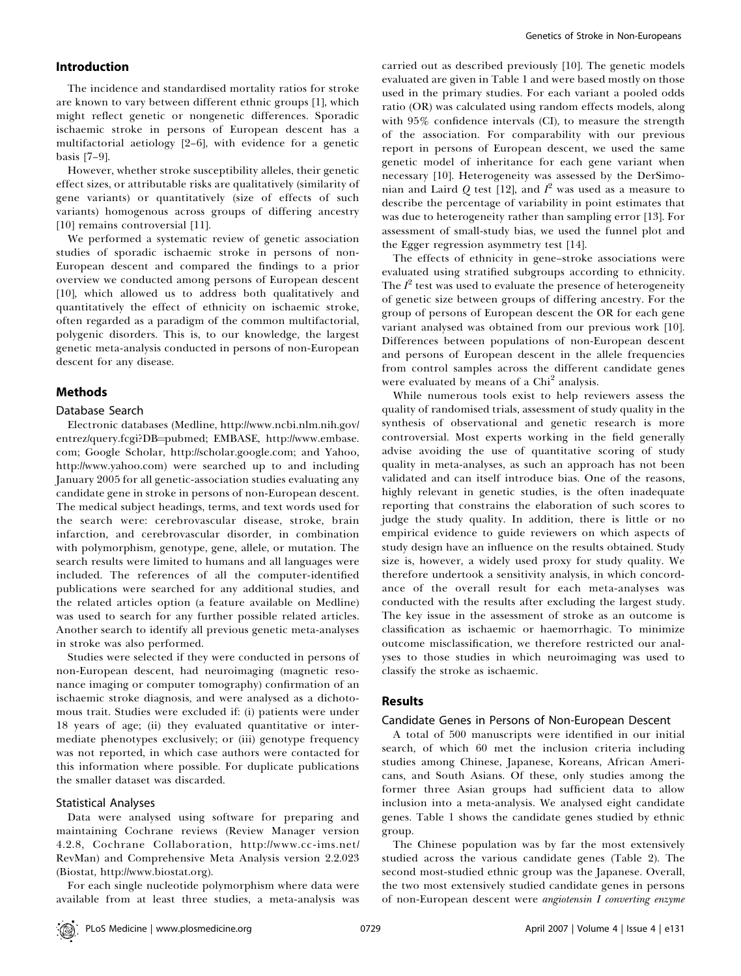#### Introduction

The incidence and standardised mortality ratios for stroke are known to vary between different ethnic groups [1], which might reflect genetic or nongenetic differences. Sporadic ischaemic stroke in persons of European descent has a multifactorial aetiology [2–6], with evidence for a genetic basis [7–9].

However, whether stroke susceptibility alleles, their genetic effect sizes, or attributable risks are qualitatively (similarity of gene variants) or quantitatively (size of effects of such variants) homogenous across groups of differing ancestry [10] remains controversial [11].

We performed a systematic review of genetic association studies of sporadic ischaemic stroke in persons of non-European descent and compared the findings to a prior overview we conducted among persons of European descent [10], which allowed us to address both qualitatively and quantitatively the effect of ethnicity on ischaemic stroke, often regarded as a paradigm of the common multifactorial, polygenic disorders. This is, to our knowledge, the largest genetic meta-analysis conducted in persons of non-European descent for any disease.

#### Methods

#### Database Search

Electronic databases (Medline, http://www.ncbi.nlm.nih.gov/ entrez/query.fcgi?DB=pubmed; EMBASE, http://www.embase. com; Google Scholar, http://scholar.google.com; and Yahoo, http://www.yahoo.com) were searched up to and including January 2005 for all genetic-association studies evaluating any candidate gene in stroke in persons of non-European descent. The medical subject headings, terms, and text words used for the search were: cerebrovascular disease, stroke, brain infarction, and cerebrovascular disorder, in combination with polymorphism, genotype, gene, allele, or mutation. The search results were limited to humans and all languages were included. The references of all the computer-identified publications were searched for any additional studies, and the related articles option (a feature available on Medline) was used to search for any further possible related articles. Another search to identify all previous genetic meta-analyses in stroke was also performed.

Studies were selected if they were conducted in persons of non-European descent, had neuroimaging (magnetic resonance imaging or computer tomography) confirmation of an ischaemic stroke diagnosis, and were analysed as a dichotomous trait. Studies were excluded if: (i) patients were under 18 years of age; (ii) they evaluated quantitative or intermediate phenotypes exclusively; or (iii) genotype frequency was not reported, in which case authors were contacted for this information where possible. For duplicate publications the smaller dataset was discarded.

#### Statistical Analyses

Data were analysed using software for preparing and maintaining Cochrane reviews (Review Manager version 4.2.8, Cochrane Collaboration, http://www.cc-ims.net/ RevMan) and Comprehensive Meta Analysis version 2.2.023 (Biostat, http://www.biostat.org).

For each single nucleotide polymorphism where data were available from at least three studies, a meta-analysis was carried out as described previously [10]. The genetic models evaluated are given in Table 1 and were based mostly on those used in the primary studies. For each variant a pooled odds ratio (OR) was calculated using random effects models, along with 95% confidence intervals (CI), to measure the strength of the association. For comparability with our previous report in persons of European descent, we used the same genetic model of inheritance for each gene variant when necessary [10]. Heterogeneity was assessed by the DerSimonian and Laird  $Q$  test [12], and  $I^2$  was used as a measure to describe the percentage of variability in point estimates that was due to heterogeneity rather than sampling error [13]. For assessment of small-study bias, we used the funnel plot and the Egger regression asymmetry test [14].

The effects of ethnicity in gene–stroke associations were evaluated using stratified subgroups according to ethnicity. The  $I^2$  test was used to evaluate the presence of heterogeneity of genetic size between groups of differing ancestry. For the group of persons of European descent the OR for each gene variant analysed was obtained from our previous work [10]. Differences between populations of non-European descent and persons of European descent in the allele frequencies from control samples across the different candidate genes were evaluated by means of a Chi<sup>2</sup> analysis.

While numerous tools exist to help reviewers assess the quality of randomised trials, assessment of study quality in the synthesis of observational and genetic research is more controversial. Most experts working in the field generally advise avoiding the use of quantitative scoring of study quality in meta-analyses, as such an approach has not been validated and can itself introduce bias. One of the reasons, highly relevant in genetic studies, is the often inadequate reporting that constrains the elaboration of such scores to judge the study quality. In addition, there is little or no empirical evidence to guide reviewers on which aspects of study design have an influence on the results obtained. Study size is, however, a widely used proxy for study quality. We therefore undertook a sensitivity analysis, in which concordance of the overall result for each meta-analyses was conducted with the results after excluding the largest study. The key issue in the assessment of stroke as an outcome is classification as ischaemic or haemorrhagic. To minimize outcome misclassification, we therefore restricted our analyses to those studies in which neuroimaging was used to classify the stroke as ischaemic.

#### Results

#### Candidate Genes in Persons of Non-European Descent

A total of 500 manuscripts were identified in our initial search, of which 60 met the inclusion criteria including studies among Chinese, Japanese, Koreans, African Americans, and South Asians. Of these, only studies among the former three Asian groups had sufficient data to allow inclusion into a meta-analysis. We analysed eight candidate genes. Table 1 shows the candidate genes studied by ethnic group.

The Chinese population was by far the most extensively studied across the various candidate genes (Table 2). The second most-studied ethnic group was the Japanese. Overall, the two most extensively studied candidate genes in persons of non-European descent were angiotensin I converting enzyme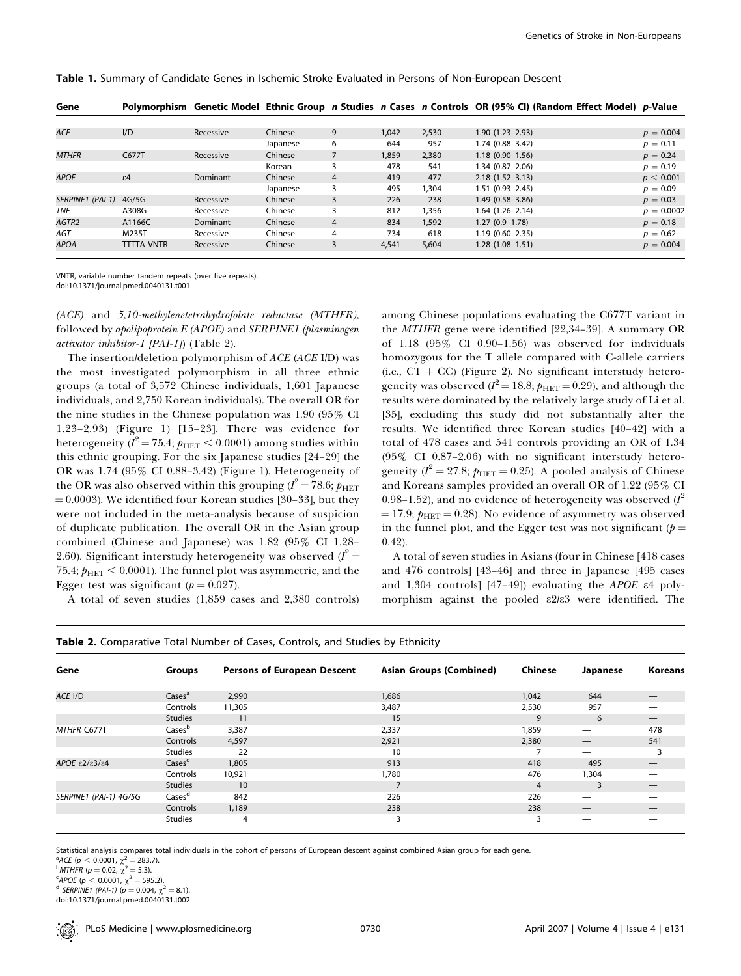| Gene             |                   |           |          |   |       |       | Polymorphism Genetic Model Ethnic Group n Studies n Cases n Controls OR (95% CI) (Random Effect Model) p-Value |              |
|------------------|-------------------|-----------|----------|---|-------|-------|----------------------------------------------------------------------------------------------------------------|--------------|
|                  |                   |           |          |   |       |       |                                                                                                                |              |
| <b>ACE</b>       | I/D               | Recessive | Chinese  | 9 | 1.042 | 2,530 | $1.90(1.23 - 2.93)$                                                                                            | $p = 0.004$  |
|                  |                   |           | Japanese | 6 | 644   | 957   | 1.74 (0.88–3.42)                                                                                               | $p = 0.11$   |
| <b>MTHFR</b>     | C677T             | Recessive | Chinese  |   | 1.859 | 2,380 | $1.18(0.90 - 1.56)$                                                                                            | $p = 0.24$   |
|                  |                   |           | Korean   |   | 478   | 541   | 1.34 (0.87-2.06)                                                                                               | $p = 0.19$   |
| <b>APOE</b>      | $\varepsilon$ 4   | Dominant  | Chinese  | 4 | 419   | 477   | $2.18(1.52 - 3.13)$                                                                                            | p < 0.001    |
|                  |                   |           | Japanese |   | 495   | 1,304 | 1.51 (0.93-2.45)                                                                                               | $p = 0.09$   |
| SERPINE1 (PAI-1) | 4G/5G             | Recessive | Chinese  | 3 | 226   | 238   | $1.49(0.58 - 3.86)$                                                                                            | $p = 0.03$   |
| <b>TNF</b>       | A308G             | Recessive | Chinese  | З | 812   | 1,356 | 1.64 (1.26–2.14)                                                                                               | $p = 0.0002$ |
| AGTR2            | A1166C            | Dominant  | Chinese  | 4 | 834   | 1,592 | $1.27(0.9-1.78)$                                                                                               | $p = 0.18$   |
| AGT              | M235T             | Recessive | Chinese  | 4 | 734   | 618   | $1.19(0.60 - 2.35)$                                                                                            | $p = 0.62$   |
| <b>APOA</b>      | <b>TTTTA VNTR</b> | Recessive | Chinese  | 3 | 4,541 | 5,604 | $1.28(1.08-1.51)$                                                                                              | $p = 0.004$  |

|  |  |  | <b>Table 1.</b> Summary of Candidate Genes in Ischemic Stroke Evaluated in Persons of Non-European Descent |
|--|--|--|------------------------------------------------------------------------------------------------------------|
|--|--|--|------------------------------------------------------------------------------------------------------------|

VNTR, variable number tandem repeats (over five repeats). doi:10.1371/journal.pmed.0040131.t001

(ACE) and 5,10-methylenetetrahydrofolate reductase (MTHFR), followed by apolipoprotein E (APOE) and SERPINE1 (plasminogen activator inhibitor-1 [PAI-1]) (Table 2).

The insertion/deletion polymorphism of ACE (ACE I/D) was the most investigated polymorphism in all three ethnic groups (a total of 3,572 Chinese individuals, 1,601 Japanese individuals, and 2,750 Korean individuals). The overall OR for the nine studies in the Chinese population was 1.90 (95% CI 1.23–2.93) (Figure 1) [15–23]. There was evidence for heterogeneity ( $\dot{I}^2$  = 75.4;  $\dot{p}_{\rm HET}$  < 0.0001) among studies within this ethnic grouping. For the six Japanese studies [24–29] the OR was 1.74 (95% CI 0.88–3.42) (Figure 1). Heterogeneity of the OR was also observed within this grouping ( $l^2$  = 78.6;  $p_{\rm HET}$  $= 0.0003$ ). We identified four Korean studies [30–33], but they were not included in the meta-analysis because of suspicion of duplicate publication. The overall OR in the Asian group combined (Chinese and Japanese) was 1.82 (95% CI 1.28– 2.60). Significant interstudy heterogeneity was observed ( $I^2$  = 75.4;  $p_{\text{HET}}$  < 0.0001). The funnel plot was asymmetric, and the Egger test was significant ( $p = 0.027$ ).

A total of seven studies (1,859 cases and 2,380 controls)

among Chinese populations evaluating the C677T variant in the MTHFR gene were identified [22,34–39]. A summary OR of 1.18 (95% CI 0.90–1.56) was observed for individuals homozygous for the T allele compared with C-allele carriers (i.e.,  $CT + CC$ ) (Figure 2). No significant interstudy heterogeneity was observed ( $l^2 = 18.8; p_{\text{HET}} = 0.29$ ), and although the results were dominated by the relatively large study of Li et al. [35], excluding this study did not substantially alter the results. We identified three Korean studies [40–42] with a total of 478 cases and 541 controls providing an OR of 1.34 (95% CI 0.87–2.06) with no significant interstudy heterogeneity ( $l^2 = 27.8; \, \not\!\!p_{\rm HET} = 0.25$ ). A pooled analysis of Chinese and Koreans samples provided an overall OR of 1.22 (95% CI 0.98-1.52), and no evidence of heterogeneity was observed  $(I^2)$  $= 17.9$ ;  $p_{\text{HET}} = 0.28$ ). No evidence of asymmetry was observed in the funnel plot, and the Egger test was not significant  $(p =$ 0.42).

A total of seven studies in Asians (four in Chinese [418 cases and 476 controls] [43–46] and three in Japanese [495 cases and 1,304 controls] [47-49]) evaluating the *APOE*  $\varepsilon$ 4 polymorphism against the pooled e2/e3 were identified. The

| Gene                                          | <b>Groups</b>      | <b>Persons of European Descent</b> | <b>Asian Groups (Combined)</b> | <b>Chinese</b> | Japanese | <b>Koreans</b> |
|-----------------------------------------------|--------------------|------------------------------------|--------------------------------|----------------|----------|----------------|
|                                               |                    |                                    |                                |                |          |                |
| ACE I/D                                       | Cases <sup>a</sup> | 2,990                              | 1,686                          | 1,042          | 644      |                |
|                                               | Controls           | 11,305                             | 3,487                          | 2,530          | 957      |                |
|                                               | <b>Studies</b>     | 11                                 | 15                             | 9              | 6        |                |
| MTHFR C677T                                   | Cases <sup>b</sup> | 3,387                              | 2,337                          | 1,859          |          | 478            |
|                                               | Controls           | 4.597                              | 2,921                          | 2,380          |          | 541            |
|                                               | <b>Studies</b>     | 22                                 | 10                             |                |          | 3              |
| APOE $\epsilon$ 2/ $\epsilon$ 3/ $\epsilon$ 4 | Cases <sup>c</sup> | 1.805                              | 913                            | 418            | 495      |                |
|                                               | Controls           | 10,921                             | 1,780                          | 476            | 1,304    |                |
|                                               | <b>Studies</b>     | 10                                 |                                | $\overline{4}$ | 3        |                |
| SERPINE1 (PAI-1) 4G/5G                        | Cases <sup>d</sup> | 842                                | 226                            | 226            |          |                |
|                                               | Controls           | 1,189                              | 238                            | 238            |          |                |
|                                               | <b>Studies</b>     | 4                                  | 3                              | 3              |          |                |

Table 2. Comparative Total Number of Cases, Controls, and Studies by Ethnicity

Statistical analysis compares total individuals in the cohort of persons of European descent against combined Asian group for each gene.

<sup>a</sup>ACE ( $p < 0.0001$ ,  $\chi^2 = 283.7$ ).

 ${}^{\text{b}}$ MTHFR (p = 0.02,  $\chi^2$  = 5.3).<br><sup>C</sup>APOE (p < 0.0001,  $\chi^2$  = 595.2).<br><sup>d</sup> SERPINE1 (PAI-1) (p = 0.004,  $\chi^2$  = 8.1).

doi:10.1371/journal.pmed.0040131.t002

PLoS Medicine | www.plosmedicine.org April 2007 | Volume 4 | Issue 4 | e131 0730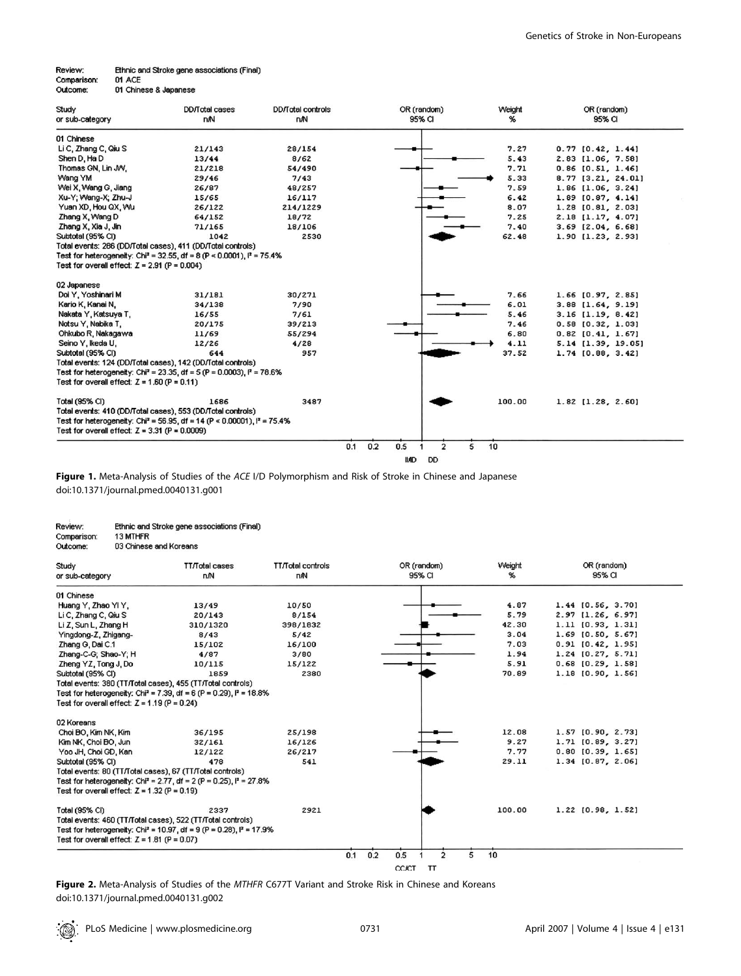#### Ethnic and Stroke gene associations (Final) Review: Comparison: 01 ACE Outcome: 01 Chinese & Japanese

| Study<br>or sub-category                                                               | <b>DD/Total cases</b><br>nM | <b>DD/Total controls</b><br>nN | OR (random)<br>95% CI        | Weight<br>% | OR (random)<br>95% CI |  |
|----------------------------------------------------------------------------------------|-----------------------------|--------------------------------|------------------------------|-------------|-----------------------|--|
| 01 Chinese                                                                             |                             |                                |                              |             |                       |  |
| Li C, Zhang C, Qiu S                                                                   | 21/143                      | 28/154                         |                              | 7.27        | $0.77$ $[0.42, 1.44]$ |  |
| Shen D, Ha D                                                                           | 13/44                       | 8/62                           |                              | 5.43        | 2.83 [1.06, 7.58]     |  |
| Thomas GN, Lin JVV,                                                                    | 21/218                      | 54/490                         |                              | 7.71        | $0.86$ $[0.51, 1.46]$ |  |
| Wang YM                                                                                | 29/46                       | 7/43                           |                              | 5.33        | 8.77 [3.21, 24.01]    |  |
| Wei X, Wang G, Jiang                                                                   | 26/87                       | 48/257                         |                              | 7.59        | $1.86$ [1.06, 3.24]   |  |
| Xu-Y; Wang-X; Zhu-J                                                                    | 15/65                       | 16/117                         |                              | 6.42        | $1.89$ $[0.87, 4.14]$ |  |
| Yuan XD, Hou QX, VVu                                                                   | 26/122                      | 214/1229                       |                              | 8.07        | $1.28$ $[0.81, 2.03]$ |  |
| Zhang X, Wang D                                                                        | 64/152                      | 18/72                          |                              | 7.25        | 2.18 [1.17, 4.07]     |  |
| Zhang X, Xia J, Jin                                                                    | 71/165                      | 18/106                         |                              | 7.40        | $3.69$ $[2.04, 6.68]$ |  |
| Subtotal (95% CI)                                                                      | 1042                        | 2530                           |                              | 62.48       | 1.90 [1.23, 2.93]     |  |
| Total events: 286 (DD/Total cases), 411 (DD/Total controls)                            |                             |                                |                              |             |                       |  |
| Test for heterogeneity: Chi <sup>2</sup> = 32.55, df = 8 (P < 0.0001), $I^2$ = 75.4%   |                             |                                |                              |             |                       |  |
| Test for overall effect: $Z = 2.91$ (P = 0.004)                                        |                             |                                |                              |             |                       |  |
| 02 Japanese                                                                            |                             |                                |                              |             |                       |  |
| Doi Y, Yoshinari M                                                                     | 31/181                      | 30/271                         |                              | 7.66        | 1.66 [0.97, 2.85]     |  |
| Kario K, Kanai N,                                                                      | 34/138                      | 7/90                           |                              | 6.01        | $3.88$ [1.64, 9.19]   |  |
| Nakata Y, Katsuya T,                                                                   | 16/55                       | 7/61                           |                              | 5.46        | $3.16$ [1.19, 8.42]   |  |
| Notsu Y, Nabika T,                                                                     | 20/175                      | 39/213                         |                              | 7.46        | $0.58$ $[0.32, 1.03]$ |  |
| Ohkubo R, Nakagawa                                                                     | 11/69                       | 55/294                         |                              | 6.80        | $0.82$ $[0.41, 1.67]$ |  |
| Seino Y, Ikeda U,                                                                      | 12/26                       | 4/28                           |                              | 4.11        | 5.14 [1.39, 19.05]    |  |
| Subtotal (95% CI)                                                                      | 644                         | 957                            |                              | 37.52       | 1.74 [0.88, 3.42]     |  |
| Total events: 124 (DD/Total cases), 142 (DD/Total controls)                            |                             |                                |                              |             |                       |  |
| Test for heterogeneity: Chi <sup>2</sup> = 23.35, df = 5 (P = 0.0003), $P = 78.6\%$    |                             |                                |                              |             |                       |  |
| Test for overall effect: $Z = 1.60$ (P = 0.11)                                         |                             |                                |                              |             |                       |  |
| Total (95% CI)                                                                         | 1686                        | 3487                           |                              | 100.00      | 1.82 [1.28, 2.60]     |  |
| Total events: 410 (DD/Total cases), 553 (DD/Total controls)                            |                             |                                |                              |             |                       |  |
| Test for heterogeneity: Chi <sup>2</sup> = 56.95, df = 14 (P < 0.00001), $I^2$ = 75.4% |                             |                                |                              |             |                       |  |
| Test for overall effect: $Z = 3.31$ (P = 0.0009)                                       |                             |                                |                              |             |                       |  |
|                                                                                        |                             | 0.1                            | 0.2<br>0.5<br>$\overline{2}$ | 10<br>5     |                       |  |
|                                                                                        |                             |                                | <b>IMD</b><br><b>DD</b>      |             |                       |  |

Figure 1. Meta-Analysis of Studies of the ACE I/D Polymorphism and Risk of Stroke in Chinese and Japanese doi:10.1371/journal.pmed.0040131.g001

| Review:<br>Comparison:<br>Outcome: | 13 MTHFR<br>03 Chinese and Koreans             | Ethnic and Stroke gene associations (Final)                                        |                                |     |            |                       |             |                       |
|------------------------------------|------------------------------------------------|------------------------------------------------------------------------------------|--------------------------------|-----|------------|-----------------------|-------------|-----------------------|
| Study<br>or sub-category           |                                                | <b>TT/Total cases</b><br>nN                                                        | <b>TT/Total controls</b><br>nN |     |            | OR (random)<br>95% CI | Weight<br>% | OR (random)<br>95% CI |
| 01 Chinese                         |                                                |                                                                                    |                                |     |            |                       |             |                       |
| Huang Y, Zhao YI Y,                |                                                | 13/49                                                                              | 10/50                          |     |            |                       | 4.87        | 1.44 [0.56, 3.70]     |
| Li C, Zhang C, Qiu S               |                                                | 20/143                                                                             | 8/154                          |     |            |                       | 5.79        | 2.97 [1.26, 6.97]     |
| Li Z, Sun L, Zhang H               |                                                | 310/1320                                                                           | 398/1832                       |     |            |                       | 42.30       | 1.11 [0.93, 1.31]     |
| Yingdong-Z, Zhigang-               |                                                | 8/43                                                                               | 5/42                           |     |            |                       | 3.04        | $1.69$ $[0.50, 5.67]$ |
| Zhang G, Dai C.1                   |                                                | 15/102                                                                             | 16/100                         |     |            |                       | 7.03        | $0.91$ $[0.42, 1.95]$ |
| Zhang-C-G; Shao-Y; H               |                                                | 4/87                                                                               | 3/80                           |     |            |                       | 1.94        | 1.24 [0.27, 5.71]     |
| Zheng YZ, Tong J, Do               |                                                | 10/115                                                                             | 15/122                         |     |            |                       | 5.91        | $0.68$ $[0.29, 1.58]$ |
| Subtotal (95% CI)                  |                                                | 1859                                                                               | 2380                           |     |            |                       | 70.89       | 1.18 [0.90, 1.56]     |
|                                    |                                                | Total events: 380 (TT/Total cases), 455 (TT/Total controls)                        |                                |     |            |                       |             |                       |
|                                    |                                                | Test for heterogeneity: Chi <sup>2</sup> = 7.39, df = 6 (P = 0.29), $P = 18.8\%$   |                                |     |            |                       |             |                       |
|                                    | Test for overall effect: $Z = 1.19$ (P = 0.24) |                                                                                    |                                |     |            |                       |             |                       |
| 02 Koreans                         |                                                |                                                                                    |                                |     |            |                       |             |                       |
| Choi BO, Kim NK, Kim               |                                                | 36/195                                                                             | 25/198                         |     |            |                       | 12.08       | 1.57 [0.90, 2.73]     |
| Kim NK, Choi BO, Jun               |                                                | 32/161                                                                             | 16/126                         |     |            |                       | 9.27        | 1.71 [0.89, 3.27]     |
| Yoo JH, Choi GD, Kan               |                                                | 12/122                                                                             | 26/217                         |     |            |                       | 7.77        | $0.80$ $[0.39, 1.65]$ |
| Subtotal (95% CI)                  |                                                | 478                                                                                | 541                            |     |            |                       | 29.11       | 1.34 [0.87, 2.06]     |
|                                    |                                                | Total events: 80 (TT/Total cases), 67 (TT/Total controls)                          |                                |     |            |                       |             |                       |
|                                    |                                                | Test for heterogeneity: Chi <sup>2</sup> = 2.77, df = 2 (P = 0.25), $P = 27.8\%$   |                                |     |            |                       |             |                       |
|                                    | Test for overall effect: $Z = 1.32$ (P = 0.19) |                                                                                    |                                |     |            |                       |             |                       |
| Total (95% CI)                     |                                                | 2337                                                                               | 2921                           |     |            |                       | 100.00      | 1.22 [0.98, 1.52]     |
|                                    |                                                | Total events: 460 (TT/Total cases), 522 (TT/Total controls)                        |                                |     |            |                       |             |                       |
|                                    |                                                | Test for heterogeneity: Chi <sup>2</sup> = 10.97, df = 9 (P = 0.28), $I^2$ = 17.9% |                                |     |            |                       |             |                       |
|                                    | Test for overall effect: $Z = 1.81$ (P = 0.07) |                                                                                    |                                |     |            |                       |             |                       |
|                                    |                                                |                                                                                    |                                | 0.1 | 0.2<br>0.5 | $\overline{2}$        | 5<br>10     |                       |
|                                    |                                                |                                                                                    |                                |     | CC/CT      | <b>TT</b>             |             |                       |

Figure 2. Meta-Analysis of Studies of the MTHFR C677T Variant and Stroke Risk in Chinese and Koreans doi:10.1371/journal.pmed.0040131.g002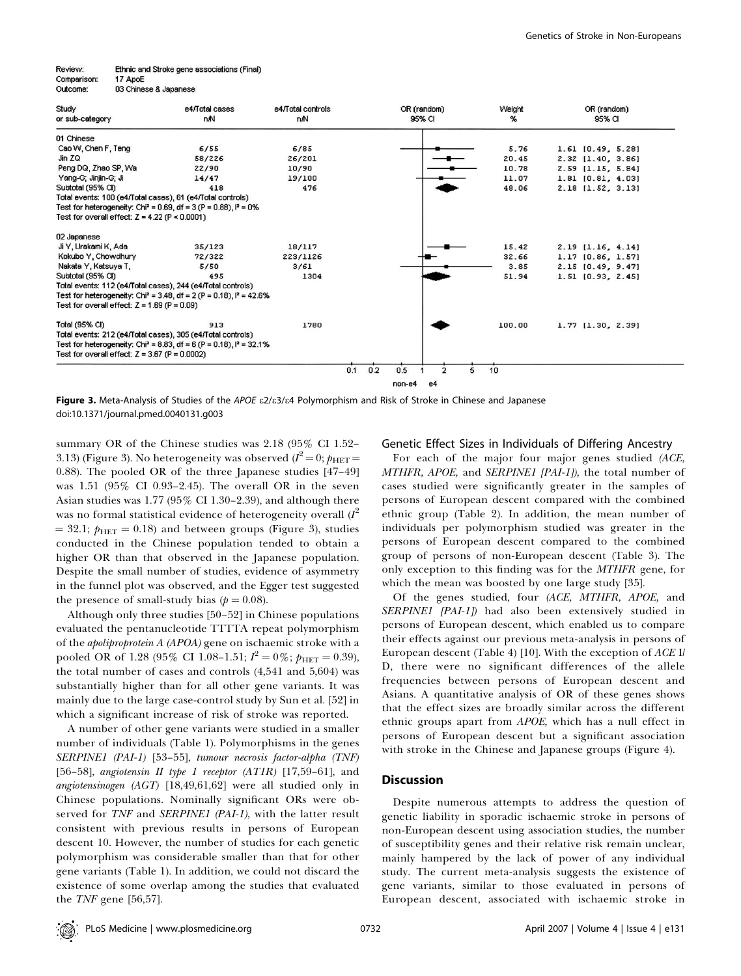#### Review: Ethnic and Stroke gene associations (Final) Comparison: 17 ApoE Outcome: 03 Chinese & Japanese

| Study<br>or sub-category                                                        | e4/Total cases<br>nM                                                             | e4/Total controls<br>nN | OR (random)<br>95% CI               | Weight<br>% | OR (random)<br>95% CI |
|---------------------------------------------------------------------------------|----------------------------------------------------------------------------------|-------------------------|-------------------------------------|-------------|-----------------------|
| 01 Chinese                                                                      |                                                                                  |                         |                                     |             |                       |
| Cao W, Chen F, Teng                                                             | 6/55                                                                             | 6/85                    |                                     | 5.76        | $1.61$ $[0.49, 5.28]$ |
| Jin ZQ                                                                          | 58/226                                                                           | 26/201                  |                                     | 20.45       | 2.32 [1.40, 3.86]     |
| Peng DQ, Zhao SP, Wa                                                            | 22/90                                                                            | 10/90                   |                                     | 10.78       | $2.59$ [1.15, 5.84]   |
| Yang-G; Jinjin-G; Ji                                                            | 14/47                                                                            | 19/100                  |                                     | 11.07       | 1.81 [0.81, 4.03]     |
| Subtotal (95% CI)                                                               | 418                                                                              | 476                     |                                     | 48.06       | $2.18$ $[1.52, 3.13]$ |
| Total events: 100 (e4/Total cases), 61 (e4/Total controls)                      |                                                                                  |                         |                                     |             |                       |
| Test for heterogeneity: Chi <sup>2</sup> = 0.69, df = 3 (P = 0.88), $I^2 = 0\%$ |                                                                                  |                         |                                     |             |                       |
| Test for overall effect: $Z = 4.22$ (P < 0.0001)                                |                                                                                  |                         |                                     |             |                       |
| 02 Japanese                                                                     |                                                                                  |                         |                                     |             |                       |
| Ji Y, Urakami K, Ada                                                            | 35/123                                                                           | 18/117                  |                                     | 15.42       | $2.19$ [1.16, 4.14]   |
| Kokubo Y, Chowdhury                                                             | 72/322                                                                           | 223/1126                |                                     | 32.66       | 1.17 [0.86, 1.57]     |
| Nakata Y, Katsuva T,                                                            | 5/50                                                                             | 3/61                    |                                     | 3.85        | 2.15 [0.49, 9.47]     |
| Subtotal (95% CI)                                                               | 495                                                                              | 1304                    |                                     | 51.94       | $1.51$ $[0.93, 2.45]$ |
| Total events: 112 (e4/Total cases), 244 (e4/Total controls)                     |                                                                                  |                         |                                     |             |                       |
|                                                                                 | Test for heterogeneity: Chi <sup>2</sup> = 3.48, df = 2 (P = 0.18), $P = 42.6\%$ |                         |                                     |             |                       |
| Test for overall effect: $Z = 1.69$ (P = 0.09)                                  |                                                                                  |                         |                                     |             |                       |
| Total (95% CI)                                                                  | 913                                                                              | 1780                    |                                     | 100.00      | 1.77 [1.30, 2.39]     |
| Total events: 212 (e4/Total cases), 305 (e4/Total controls)                     |                                                                                  |                         |                                     |             |                       |
|                                                                                 | Test for heterogeneity: Chi <sup>2</sup> = 8.83, df = 6 (P = 0.18), $P = 32.1\%$ |                         |                                     |             |                       |
| Test for overall effect: $Z = 3.67$ (P = 0.0002)                                |                                                                                  |                         |                                     |             |                       |
|                                                                                 |                                                                                  |                         | 0.2<br>0.1<br>0.5<br>$\overline{2}$ | 10<br>5     |                       |
|                                                                                 |                                                                                  |                         |                                     |             |                       |
|                                                                                 |                                                                                  |                         | $non-e4$<br>e4                      |             |                       |

Figure 3. Meta-Analysis of Studies of the APOE  $\epsilon$ 2/ $\epsilon$ 3/ $\epsilon$ 4 Polymorphism and Risk of Stroke in Chinese and Japanese doi:10.1371/journal.pmed.0040131.g003

summary OR of the Chinese studies was 2.18 (95% CI 1.52– 3.13) (Figure 3). No heterogeneity was observed ( $l^2=0; \not\!{p}_{\text{HET}}=0$ 0.88). The pooled OR of the three Japanese studies [47–49] was 1.51 (95% CI 0.93–2.45). The overall OR in the seven Asian studies was 1.77 (95% CI 1.30–2.39), and although there was no formal statistical evidence of heterogeneity overall  $(I^2$  $=$  32.1;  $p_{\text{HET}} = 0.18$ ) and between groups (Figure 3), studies conducted in the Chinese population tended to obtain a higher OR than that observed in the Japanese population. Despite the small number of studies, evidence of asymmetry in the funnel plot was observed, and the Egger test suggested the presence of small-study bias ( $p = 0.08$ ).

Although only three studies [50–52] in Chinese populations evaluated the pentanucleotide TTTTA repeat polymorphism of the *apoliproprotein A (APOA)* gene on ischaemic stroke with a pooled OR of 1.28 (95% CI 1.08–1.51;  $I^2 = 0\%$ ;  $p_{\text{HET}} = 0.39$ ), the total number of cases and controls (4,541 and 5,604) was substantially higher than for all other gene variants. It was mainly due to the large case-control study by Sun et al. [52] in which a significant increase of risk of stroke was reported.

A number of other gene variants were studied in a smaller number of individuals (Table 1). Polymorphisms in the genes SERPINE1 (PAI-1) [53–55], tumour necrosis factor-alpha (TNF) [56–58], angiotensin  $II$  type  $I$  receptor (AT1R) [17,59–61], and angiotensinogen (AGT) [18,49,61,62] were all studied only in Chinese populations. Nominally significant ORs were observed for TNF and SERPINE1 (PAI-1), with the latter result consistent with previous results in persons of European descent 10. However, the number of studies for each genetic polymorphism was considerable smaller than that for other gene variants (Table 1). In addition, we could not discard the existence of some overlap among the studies that evaluated the  $TNF$  gene [56,57].

Genetic Effect Sizes in Individuals of Differing Ancestry

For each of the major four major genes studied (ACE, MTHFR, APOE, and SERPINE1 [PAI-1]), the total number of cases studied were significantly greater in the samples of persons of European descent compared with the combined ethnic group (Table 2). In addition, the mean number of individuals per polymorphism studied was greater in the persons of European descent compared to the combined group of persons of non-European descent (Table 3). The only exception to this finding was for the MTHFR gene, for which the mean was boosted by one large study [35].

Of the genes studied, four (ACE, MTHFR, APOE, and SERPINE1 [PAI-1]) had also been extensively studied in persons of European descent, which enabled us to compare their effects against our previous meta-analysis in persons of European descent (Table 4) [10]. With the exception of ACE I/ D, there were no significant differences of the allele frequencies between persons of European descent and Asians. A quantitative analysis of OR of these genes shows that the effect sizes are broadly similar across the different ethnic groups apart from APOE, which has a null effect in persons of European descent but a significant association with stroke in the Chinese and Japanese groups (Figure 4).

#### **Discussion**

Despite numerous attempts to address the question of genetic liability in sporadic ischaemic stroke in persons of non-European descent using association studies, the number of susceptibility genes and their relative risk remain unclear, mainly hampered by the lack of power of any individual study. The current meta-analysis suggests the existence of gene variants, similar to those evaluated in persons of European descent, associated with ischaemic stroke in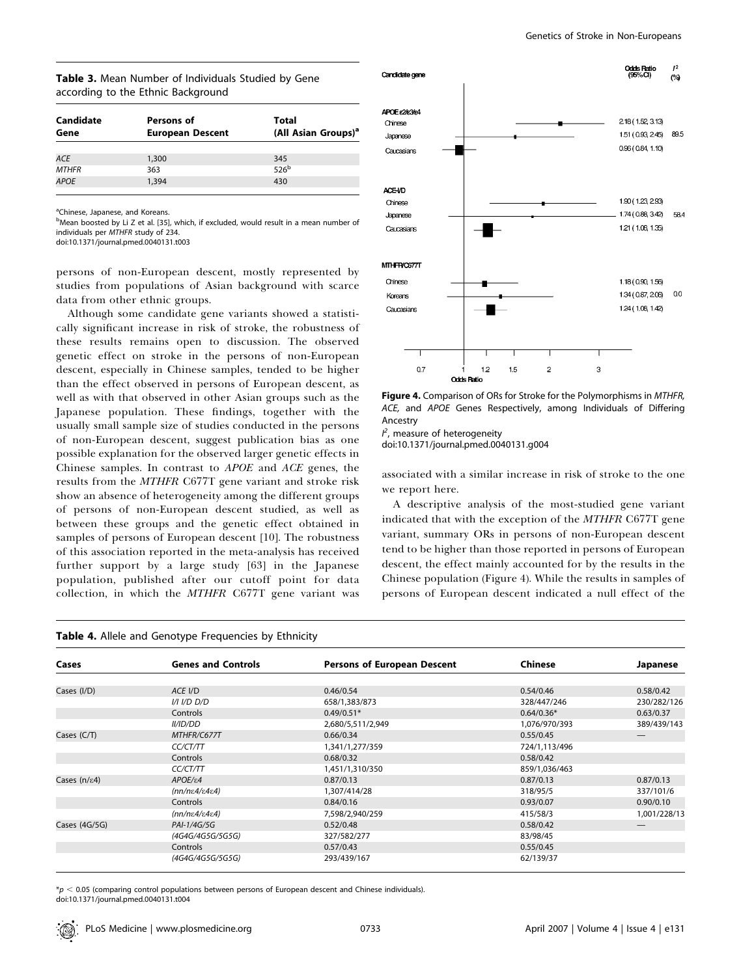| Table 3. Mean Number of Individuals Studied by Gene |  |  |
|-----------------------------------------------------|--|--|
| according to the Ethnic Background                  |  |  |

| Candidate<br>Gene | Persons of<br><b>European Descent</b> | Total<br>(All Asian Groups) <sup>a</sup> |
|-------------------|---------------------------------------|------------------------------------------|
|                   |                                       |                                          |
| <b>ACE</b>        | 1,300                                 | 345                                      |
| <b>MTHFR</b>      | 363                                   | 526 <sup>b</sup>                         |
| <b>APOE</b>       | 1.394                                 | 430                                      |

<sup>a</sup>Chinese, Japanese, and Koreans.

<sup>b</sup>Mean boosted by Li Z et al. [35], which, if excluded, would result in a mean number of individuals per MTHFR study of 234.

doi:10.1371/journal.pmed.0040131.t003

persons of non-European descent, mostly represented by studies from populations of Asian background with scarce data from other ethnic groups.

Although some candidate gene variants showed a statistically significant increase in risk of stroke, the robustness of these results remains open to discussion. The observed genetic effect on stroke in the persons of non-European descent, especially in Chinese samples, tended to be higher than the effect observed in persons of European descent, as well as with that observed in other Asian groups such as the Japanese population. These findings, together with the usually small sample size of studies conducted in the persons of non-European descent, suggest publication bias as one possible explanation for the observed larger genetic effects in Chinese samples. In contrast to APOE and ACE genes, the results from the MTHFR C677T gene variant and stroke risk show an absence of heterogeneity among the different groups of persons of non-European descent studied, as well as between these groups and the genetic effect obtained in samples of persons of European descent [10]. The robustness of this association reported in the meta-analysis has received further support by a large study [63] in the Japanese population, published after our cutoff point for data collection, in which the MTHFR C677T gene variant was

| Table 4. Allele and Genotype Frequencies by Ethnicity |                               |                                    |               |              |  |  |  |
|-------------------------------------------------------|-------------------------------|------------------------------------|---------------|--------------|--|--|--|
| Cases                                                 | <b>Genes and Controls</b>     | <b>Persons of European Descent</b> | Chinese       | Japanese     |  |  |  |
|                                                       |                               |                                    |               |              |  |  |  |
| Cases (I/D)                                           | ACE I/D                       | 0.46/0.54                          | 0.54/0.46     | 0.58/0.42    |  |  |  |
|                                                       | <i>I/I I/D D/D</i>            | 658/1,383/873                      | 328/447/246   | 230/282/126  |  |  |  |
|                                                       | Controls                      | $0.49/0.51*$                       | $0.64/0.36*$  | 0.63/0.37    |  |  |  |
|                                                       | II/ID/DD                      | 2,680/5,511/2,949                  | 1,076/970/393 | 389/439/143  |  |  |  |
| Cases (C/T)                                           | MTHFR/C677T                   | 0.66/0.34                          | 0.55/0.45     |              |  |  |  |
|                                                       | CC/CT/TT                      | 1,341/1,277/359                    | 724/1,113/496 |              |  |  |  |
|                                                       | Controls                      | 0.68/0.32                          | 0.58/0.42     |              |  |  |  |
|                                                       | CC/CT/TT                      | 1,451/1,310/350                    | 859/1,036/463 |              |  |  |  |
| Cases $(n/\epsilon 4)$                                | $APOE/\varepsilon4$           | 0.87/0.13                          | 0.87/0.13     | 0.87/0.13    |  |  |  |
|                                                       | $(nn/ne4/\epsilon4\epsilon4)$ | 1,307/414/28                       | 318/95/5      | 337/101/6    |  |  |  |
|                                                       | Controls                      | 0.84/0.16                          | 0.93/0.07     | 0.90/0.10    |  |  |  |
|                                                       | $(nn/ne4/\epsilon4\epsilon4)$ | 7,598/2,940/259                    | 415/58/3      | 1,001/228/13 |  |  |  |
| Cases (4G/5G)                                         | PAI-1/4G/5G                   | 0.52/0.48                          | 0.58/0.42     |              |  |  |  |
|                                                       | (4G4G/4G5G/5G5G)              | 327/582/277                        | 83/98/45      |              |  |  |  |
|                                                       | Controls                      | 0.57/0.43                          | 0.55/0.45     |              |  |  |  |
|                                                       | (4G4G/4G5G/5G5G)              | 293/439/167                        | 62/139/37     |              |  |  |  |

 $*_p$   $<$  0.05 (comparing control populations between persons of European descent and Chinese individuals). doi:10.1371/journal.pmed.0040131.t004



Figure 4. Comparison of ORs for Stroke for the Polymorphisms in MTHFR, ACE, and APOE Genes Respectively, among Individuals of Differing Ancestry

 $l^2$ , measure of heterogeneity doi:10.1371/journal.pmed.0040131.g004

associated with a similar increase in risk of stroke to the one we report here.

A descriptive analysis of the most-studied gene variant indicated that with the exception of the MTHFR C677T gene variant, summary ORs in persons of non-European descent tend to be higher than those reported in persons of European descent, the effect mainly accounted for by the results in the Chinese population (Figure 4). While the results in samples of persons of European descent indicated a null effect of the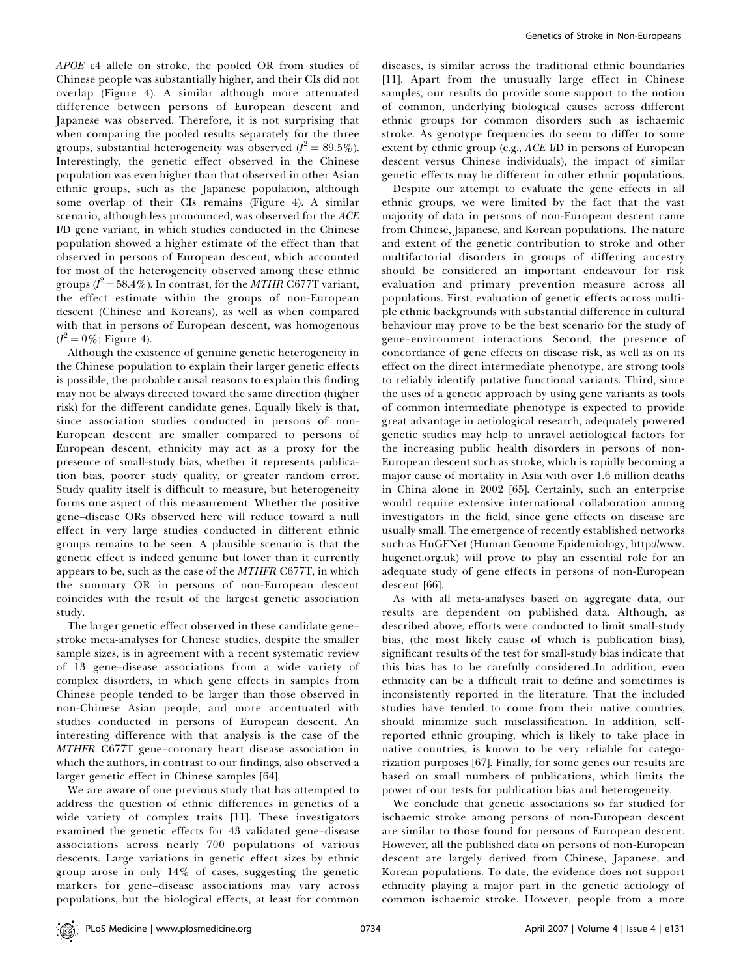APOE e4 allele on stroke, the pooled OR from studies of Chinese people was substantially higher, and their CIs did not overlap (Figure 4). A similar although more attenuated difference between persons of European descent and Japanese was observed. Therefore, it is not surprising that when comparing the pooled results separately for the three groups, substantial heterogeneity was observed ( $l^2 = 89.5\%$ ). Interestingly, the genetic effect observed in the Chinese population was even higher than that observed in other Asian ethnic groups, such as the Japanese population, although some overlap of their CIs remains (Figure 4). A similar scenario, although less pronounced, was observed for the ACE I/D gene variant, in which studies conducted in the Chinese population showed a higher estimate of the effect than that observed in persons of European descent, which accounted for most of the heterogeneity observed among these ethnic groups ( $l^2$  = 58.4%). In contrast, for the *MTHR* C677T variant, the effect estimate within the groups of non-European descent (Chinese and Koreans), as well as when compared with that in persons of European descent, was homogenous  $(I^2 = 0\%;$  Figure 4).

Although the existence of genuine genetic heterogeneity in the Chinese population to explain their larger genetic effects is possible, the probable causal reasons to explain this finding may not be always directed toward the same direction (higher risk) for the different candidate genes. Equally likely is that, since association studies conducted in persons of non-European descent are smaller compared to persons of European descent, ethnicity may act as a proxy for the presence of small-study bias, whether it represents publication bias, poorer study quality, or greater random error. Study quality itself is difficult to measure, but heterogeneity forms one aspect of this measurement. Whether the positive gene–disease ORs observed here will reduce toward a null effect in very large studies conducted in different ethnic groups remains to be seen. A plausible scenario is that the genetic effect is indeed genuine but lower than it currently appears to be, such as the case of the MTHFR C677T, in which the summary OR in persons of non-European descent coincides with the result of the largest genetic association study.

The larger genetic effect observed in these candidate gene– stroke meta-analyses for Chinese studies, despite the smaller sample sizes, is in agreement with a recent systematic review of 13 gene–disease associations from a wide variety of complex disorders, in which gene effects in samples from Chinese people tended to be larger than those observed in non-Chinese Asian people, and more accentuated with studies conducted in persons of European descent. An interesting difference with that analysis is the case of the MTHFR C677T gene–coronary heart disease association in which the authors, in contrast to our findings, also observed a larger genetic effect in Chinese samples [64].

We are aware of one previous study that has attempted to address the question of ethnic differences in genetics of a wide variety of complex traits [11]. These investigators examined the genetic effects for 43 validated gene–disease associations across nearly 700 populations of various descents. Large variations in genetic effect sizes by ethnic group arose in only 14% of cases, suggesting the genetic markers for gene–disease associations may vary across populations, but the biological effects, at least for common

diseases, is similar across the traditional ethnic boundaries [11]. Apart from the unusually large effect in Chinese samples, our results do provide some support to the notion of common, underlying biological causes across different ethnic groups for common disorders such as ischaemic stroke. As genotype frequencies do seem to differ to some extent by ethnic group (e.g., ACE I/D in persons of European descent versus Chinese individuals), the impact of similar genetic effects may be different in other ethnic populations.

Despite our attempt to evaluate the gene effects in all ethnic groups, we were limited by the fact that the vast majority of data in persons of non-European descent came from Chinese, Japanese, and Korean populations. The nature and extent of the genetic contribution to stroke and other multifactorial disorders in groups of differing ancestry should be considered an important endeavour for risk evaluation and primary prevention measure across all populations. First, evaluation of genetic effects across multiple ethnic backgrounds with substantial difference in cultural behaviour may prove to be the best scenario for the study of gene–environment interactions. Second, the presence of concordance of gene effects on disease risk, as well as on its effect on the direct intermediate phenotype, are strong tools to reliably identify putative functional variants. Third, since the uses of a genetic approach by using gene variants as tools of common intermediate phenotype is expected to provide great advantage in aetiological research, adequately powered genetic studies may help to unravel aetiological factors for the increasing public health disorders in persons of non-European descent such as stroke, which is rapidly becoming a major cause of mortality in Asia with over 1.6 million deaths in China alone in 2002 [65]. Certainly, such an enterprise would require extensive international collaboration among investigators in the field, since gene effects on disease are usually small. The emergence of recently established networks such as HuGENet (Human Genome Epidemiology, http://www. hugenet.org.uk) will prove to play an essential role for an adequate study of gene effects in persons of non-European descent [66].

As with all meta-analyses based on aggregate data, our results are dependent on published data. Although, as described above, efforts were conducted to limit small-study bias, (the most likely cause of which is publication bias), significant results of the test for small-study bias indicate that this bias has to be carefully considered..In addition, even ethnicity can be a difficult trait to define and sometimes is inconsistently reported in the literature. That the included studies have tended to come from their native countries, should minimize such misclassification. In addition, selfreported ethnic grouping, which is likely to take place in native countries, is known to be very reliable for categorization purposes [67]. Finally, for some genes our results are based on small numbers of publications, which limits the power of our tests for publication bias and heterogeneity.

We conclude that genetic associations so far studied for ischaemic stroke among persons of non-European descent are similar to those found for persons of European descent. However, all the published data on persons of non-European descent are largely derived from Chinese, Japanese, and Korean populations. To date, the evidence does not support ethnicity playing a major part in the genetic aetiology of common ischaemic stroke. However, people from a more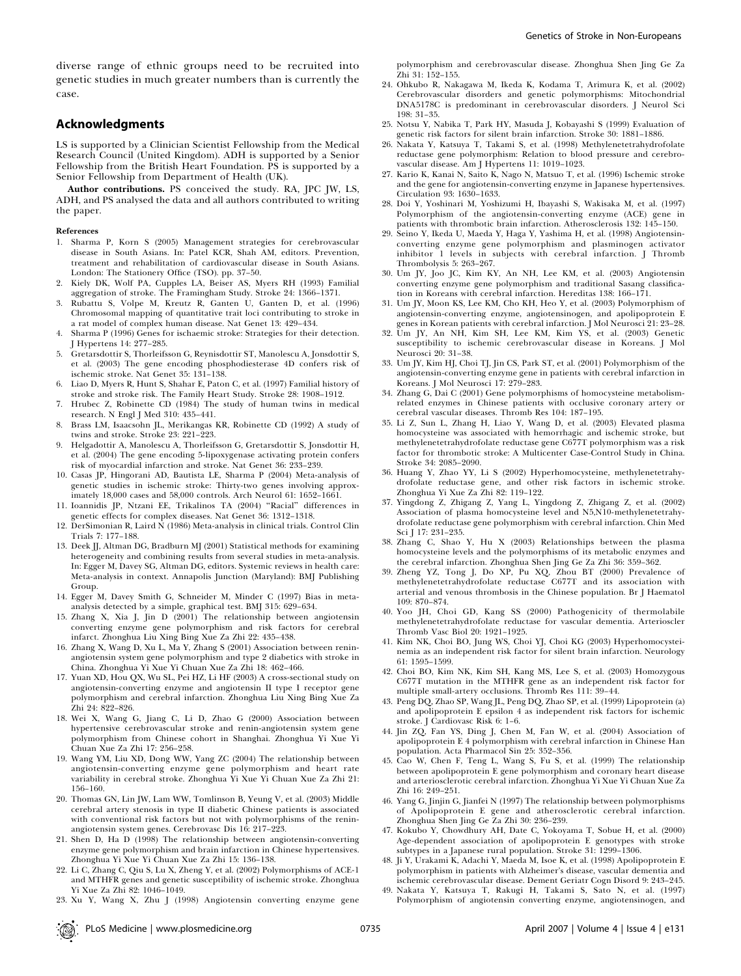#### Acknowledgments

LS is supported by a Clinician Scientist Fellowship from the Medical Research Council (United Kingdom). ADH is supported by a Senior Fellowship from the British Heart Foundation. PS is supported by a Senior Fellowship from Department of Health (UK).

Author contributions. PS conceived the study. RA, JPC JW, LS, ADH, and PS analysed the data and all authors contributed to writing the paper.

#### References

- 1. Sharma P, Korn S (2005) Management strategies for cerebrovascular disease in South Asians. In: Patel KCR, Shah AM, editors. Prevention, treatment and rehabilitation of cardiovascular disease in South Asians. London: The Stationery Office (TSO). pp. 37–50.
- 2. Kiely DK, Wolf PA, Cupples LA, Beiser AS, Myers RH (1993) Familial aggregation of stroke. The Framingham Study. Stroke 24: 1366–1371.
- 3. Rubattu S, Volpe M, Kreutz R, Ganten U, Ganten D, et al. (1996) Chromosomal mapping of quantitative trait loci contributing to stroke in a rat model of complex human disease. Nat Genet 13: 429–434.
- 4. Sharma P (1996) Genes for ischaemic stroke: Strategies for their detection. J Hypertens 14: 277–285.
- 5. Gretarsdottir S, Thorleifsson G, Reynisdottir ST, Manolescu A, Jonsdottir S, et al. (2003) The gene encoding phosphodiesterase 4D confers risk of ischemic stroke. Nat Genet 35: 131–138.
- 6. Liao D, Myers R, Hunt S, Shahar E, Paton C, et al. (1997) Familial history of stroke and stroke risk. The Family Heart Study. Stroke 28: 1908–1912.
- 7. Hrubec Z, Robinette CD (1984) The study of human twins in medical research. N Engl J Med 310: 435–441.
- 8. Brass LM, Isaacsohn JL, Merikangas KR, Robinette CD (1992) A study of twins and stroke. Stroke 23: 221–223.
- 9. Helgadottir A, Manolescu A, Thorleifsson G, Gretarsdottir S, Jonsdottir H, et al. (2004) The gene encoding 5-lipoxygenase activating protein confers risk of myocardial infarction and stroke. Nat Genet 36: 233–239.
- 10. Casas JP, Hingorani AD, Bautista LE, Sharma P (2004) Meta-analysis of genetic studies in ischemic stroke: Thirty-two genes involving approximately 18,000 cases and 58,000 controls. Arch Neurol 61: 1652–1661.
- 11. Ioannidis JP, Ntzani EE, Trikalinos TA (2004) ''Racial'' differences in genetic effects for complex diseases. Nat Genet 36: 1312–1318.
- 12. DerSimonian R, Laird N (1986) Meta-analysis in clinical trials. Control Clin Trials 7: 177–188.
- 13. Deek JJ, Altman DG, Bradburn MJ (2001) Statistical methods for examining heterogeneity and combining results from several studies in meta-analysis. In: Egger M, Davey SG, Altman DG, editors. Systemic reviews in health care: Meta-analysis in context. Annapolis Junction (Maryland): BMJ Publishing Group.
- 14. Egger M, Davey Smith G, Schneider M, Minder C (1997) Bias in metaanalysis detected by a simple, graphical test. BMJ 315: 629–634.
- 15. Zhang X, Xia J, Jin D (2001) The relationship between angiotensin converting enzyme gene polymorphism and risk factors for cerebral infarct. Zhonghua Liu Xing Bing Xue Za Zhi 22: 435–438.
- 16. Zhang X, Wang D, Xu L, Ma Y, Zhang S (2001) Association between reninangiotensin system gene polymorphism and type 2 diabetics with stroke in China. Zhonghua Yi Xue Yi Chuan Xue Za Zhi 18: 462–466.
- 17. Yuan XD, Hou QX, Wu SL, Pei HZ, Li HF (2003) A cross-sectional study on angiotensin-converting enzyme and angiotensin II type I receptor gene polymorphism and cerebral infarction. Zhonghua Liu Xing Bing Xue Za Zhi 24: 822–826.
- 18. Wei X, Wang G, Jiang C, Li D, Zhao G (2000) Association between hypertensive cerebrovascular stroke and renin-angiotensin system gene polymorphism from Chinese cohort in Shanghai. Zhonghua Yi Xue Yi Chuan Xue Za Zhi 17: 256–258.
- 19. Wang YM, Liu XD, Dong WW, Yang ZC (2004) The relationship between angiotensin-converting enzyme gene polymorphism and heart rate variability in cerebral stroke. Zhonghua Yi Xue Yi Chuan Xue Za Zhi 21: 156–160.
- 20. Thomas GN, Lin JW, Lam WW, Tomlinson B, Yeung V, et al. (2003) Middle cerebral artery stenosis in type II diabetic Chinese patients is associated with conventional risk factors but not with polymorphisms of the reninangiotensin system genes. Cerebrovasc Dis 16: 217–223.
- 21. Shen D, Ha D (1998) The relationship between angiotensin-converting enzyme gene polymorphism and brain infarction in Chinese hypertensives. Zhonghua Yi Xue Yi Chuan Xue Za Zhi 15: 136–138.
- 22. Li C, Zhang C, Qiu S, Lu X, Zheng Y, et al. (2002) Polymorphisms of ACE-1 and MTHFR genes and genetic susceptibility of ischemic stroke. Zhonghua Yi Xue Za Zhi 82: 1046–1049.
- 23. Xu Y, Wang X, Zhu J (1998) Angiotensin converting enzyme gene

polymorphism and cerebrovascular disease. Zhonghua Shen Jing Ge Za Zhi 31: 152–155.

- 24. Ohkubo R, Nakagawa M, Ikeda K, Kodama T, Arimura K, et al. (2002) Cerebrovascular disorders and genetic polymorphisms: Mitochondrial DNA5178C is predominant in cerebrovascular disorders. J Neurol Sci 198: 31–35.
- 25. Notsu Y, Nabika T, Park HY, Masuda J, Kobayashi S (1999) Evaluation of genetic risk factors for silent brain infarction. Stroke 30: 1881–1886.
- 26. Nakata Y, Katsuya T, Takami S, et al. (1998) Methylenetetrahydrofolate reductase gene polymorphism: Relation to blood pressure and cerebrovascular disease. Am J Hypertens 11: 1019–1023.
- 27. Kario K, Kanai N, Saito K, Nago N, Matsuo T, et al. (1996) Ischemic stroke and the gene for angiotensin-converting enzyme in Japanese hypertensives. Circulation 93: 1630–1633.
- 28. Doi Y, Yoshinari M, Yoshizumi H, Ibayashi S, Wakisaka M, et al. (1997) Polymorphism of the angiotensin-converting enzyme (ACE) gene in patients with thrombotic brain infarction. Atherosclerosis 132: 145–150.
- 29. Seino Y, Ikeda U, Maeda Y, Haga Y, Yashima H, et al. (1998) Angiotensinconverting enzyme gene polymorphism and plasminogen activator inhibitor 1 levels in subjects with cerebral infarction. J Thromb Thrombolysis 5: 263–267.
- 30. Um JY, Joo JC, Kim KY, An NH, Lee KM, et al. (2003) Angiotensin converting enzyme gene polymorphism and traditional Sasang classification in Koreans with cerebral infarction. Hereditas 138: 166–171.
- 31. Um JY, Moon KS, Lee KM, Cho KH, Heo Y, et al. (2003) Polymorphism of angiotensin-converting enzyme, angiotensinogen, and apolipoprotein E genes in Korean patients with cerebral infarction. J Mol Neurosci 21: 23–28.
- 32. Um JY, An NH, Kim SH, Lee KM, Kim YS, et al. (2003) Genetic susceptibility to ischemic cerebrovascular disease in Koreans. J Mol Neurosci 20: 31–38.
- 33. Um JY, Kim HJ, Choi TJ, Jin CS, Park ST, et al. (2001) Polymorphism of the angiotensin-converting enzyme gene in patients with cerebral infarction in Koreans. J Mol Neurosci 17: 279–283.
- 34. Zhang G, Dai C (2001) Gene polymorphisms of homocysteine metabolismrelated enzymes in Chinese patients with occlusive coronary artery or cerebral vascular diseases. Thromb Res 104: 187–195.
- 35. Li Z, Sun L, Zhang H, Liao Y, Wang D, et al. (2003) Elevated plasma homocysteine was associated with hemorrhagic and ischemic stroke, but methylenetetrahydrofolate reductase gene C677T polymorphism was a risk factor for thrombotic stroke: A Multicenter Case-Control Study in China. Stroke 34: 2085–2090.
- 36. Huang Y, Zhao YY, Li S (2002) Hyperhomocysteine, methylenetetrahydrofolate reductase gene, and other risk factors in ischemic stroke. Zhonghua Yi Xue Za Zhi 82: 119–122.
- 37. Yingdong Z, Zhigang Z, Yang L, Yingdong Z, Zhigang Z, et al. (2002) Association of plasma homocysteine level and N5,N10-methylenetetrahydrofolate reductase gene polymorphism with cerebral infarction. Chin Med Sci J 17: 231-235.
- 38. Zhang C, Shao Y, Hu X (2003) Relationships between the plasma homocysteine levels and the polymorphisms of its metabolic enzymes and the cerebral infarction. Zhonghua Shen Jing Ge Za Zhi 36: 359–362.
- 39. Zheng YZ, Tong J, Do XP, Pu XQ, Zhou BT (2000) Prevalence of methylenetetrahydrofolate reductase C677T and its association with arterial and venous thrombosis in the Chinese population. Br J Haematol 109: 870–874.
- 40. Yoo JH, Choi GD, Kang SS (2000) Pathogenicity of thermolabile methylenetetrahydrofolate reductase for vascular dementia. Arterioscler Thromb Vasc Biol 20: 1921–1925.
- 41. Kim NK, Choi BO, Jung WS, Choi YJ, Choi KG (2003) Hyperhomocysteinemia as an independent risk factor for silent brain infarction. Neurology 61: 1595–1599.
- 42. Choi BO, Kim NK, Kim SH, Kang MS, Lee S, et al. (2003) Homozygous C677T mutation in the MTHFR gene as an independent risk factor for multiple small-artery occlusions. Thromb Res 111: 39–44.
- 43. Peng DQ, Zhao SP, Wang JL, Peng DQ, Zhao SP, et al. (1999) Lipoprotein (a) and apolipoprotein E epsilon 4 as independent risk factors for ischemic stroke. J Cardiovasc Risk 6: 1–6.
- 44. Jin ZQ, Fan YS, Ding J, Chen M, Fan W, et al. (2004) Association of apolipoprotein E 4 polymorphism with cerebral infarction in Chinese Han population. Acta Pharmacol Sin 25: 352–356.
- 45. Cao W, Chen F, Teng L, Wang S, Fu S, et al. (1999) The relationship between apolipoprotein E gene polymorphism and coronary heart disease and arteriosclerotic cerebral infarction. Zhonghua Yi Xue Yi Chuan Xue Za Zhi 16: 249–251.
- 46. Yang G, Jinjin G, Jianfei N (1997) The relationship between polymorphisms of Apolipoprotein E gene and atherosclerotic cerebral infarction. Zhonghua Shen Jing Ge Za Zhi 30: 236–239.
- 47. Kokubo Y, Chowdhury AH, Date C, Yokoyama T, Sobue H, et al. (2000) Age-dependent association of apolipoprotein E genotypes with stroke subtypes in a Japanese rural population. Stroke 31: 1299–1306.
- 48. Ji Y, Urakami K, Adachi Y, Maeda M, Isoe K, et al. (1998) Apolipoprotein E polymorphism in patients with Alzheimer's disease, vascular dementia and ischemic cerebrovascular disease. Dement Geriatr Cogn Disord 9: 243–245.
- 49. Nakata Y, Katsuya T, Rakugi H, Takami S, Sato N, et al. (1997) Polymorphism of angiotensin converting enzyme, angiotensinogen, and

PLoS Medicine | www.plosmedicine.org April 2007 | Volume 4 | Issue 4 | e131 0735